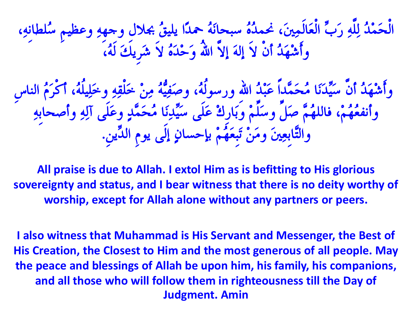الْحَمْدُ لِلّهِ رَبُّ الْعَالَمِينَ، نَحْمَدُّهُ سُبحانَهُ حَمْدًا يُلِيقُ بجلالٍ وجهِهِ وعظيمِ سُلطانِهِ، وَأَشْهَدُ أَن لاَ إِلَهَ إِلاَ الله وَحْدَهُ لاَ شَرِيكَ لَهُ،

 وأَشِهَذُ أَُّ سَُِّذََّب ٍُحَََّذاً عَجِذُ اهللِ ورسىى،ُُٔ وصَفُُُِّٔ ٍِِِ خَيْقِِٔ وخَيُِي،ُُٔ أمْزًَُ اىْبسِ وأنفُعُهُمْ، فاللهُمَّ صَلٌّ وسَلَّمْ وبَارِكٌ عَلَى سَيِّدِنَا مُحَمَّدٍ وعَلَى آلِهِ وأصحابِهِ والتَّابِعِينَ وَمَنْ تَبِعَهُمْ بإحسانٍ إلى يومِ الدِّينِ.

**All praise is due to Allah. I extol Him as is befitting to His glorious sovereignty and status, and I bear witness that there is no deity worthy of worship, except for Allah alone without any partners or peers.**

**I also witness that Muhammad is His Servant and Messenger, the Best of His Creation, the Closest to Him and the most generous of all people. May the peace and blessings of Allah be upon him, his family, his companions, and all those who will follow them in righteousness till the Day of Judgment. Amin**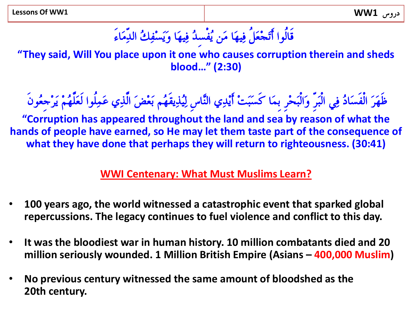# قَالُوا أَتَجْعَلُ فِيهَا مَن يُفْسِدُ فِيهَا وَيَسْفِكُ الدِّمَاءَ

**"They said, Will You place upon it one who causes corruption therein and sheds blood…" (2:30)** 

ظَهَزَ اىْفَسَبدُ فٍِ اىْجَزِّ وَاىْجَحِزِ ثََِب مَسَجَثِ أََِذٌِ اىَّْبسِ ىُُِذَِقَهٌُ ثَعِضَ اىَّذٌِ عََِيُىا ىَعَيَّهٌُِ ََزِجِعُىَُ

**"Corruption has appeared throughout the land and sea by reason of what the hands of people have earned, so He may let them taste part of the consequence of what they have done that perhaps they will return to righteousness. (30:41)**

## **WWI Centenary: What Must Muslims Learn?**

- **100 years ago, the world witnessed a catastrophic event that sparked global repercussions. The legacy continues to fuel violence and conflict to this day.**
- **It was the bloodiest war in human history. 10 million combatants died and 20 million seriously wounded. 1 Million British Empire (Asians – 400,000 Muslim)**
- **No previous century witnessed the same amount of bloodshed as the 20th century.**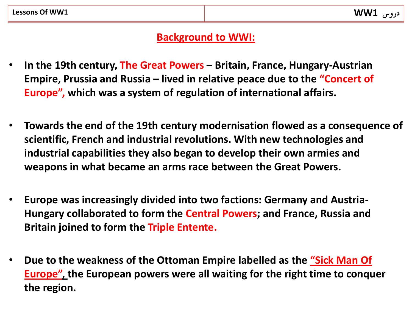#### **Background to WWI:**

- **In the 19th century, The Great Powers – Britain, France, Hungary-Austrian Empire, Prussia and Russia – lived in relative peace due to the "Concert of Europe", which was a system of regulation of international affairs.**
- **Towards the end of the 19th century modernisation flowed as a consequence of scientific, French and industrial revolutions. With new technologies and industrial capabilities they also began to develop their own armies and weapons in what became an arms race between the Great Powers.**
- **Europe was increasingly divided into two factions: Germany and Austria-Hungary collaborated to form the Central Powers; and France, Russia and Britain joined to form the Triple Entente.**
- **Due to the weakness of the Ottoman Empire labelled as the "Sick Man Of Europe", the European powers were all waiting for the right time to conquer the region.**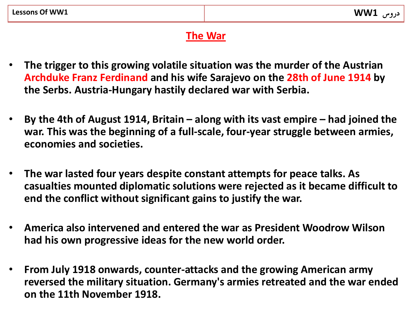## **The War**

- **The trigger to this growing volatile situation was the murder of the Austrian Archduke Franz Ferdinand and his wife Sarajevo on the 28th of June 1914 by the Serbs. Austria-Hungary hastily declared war with Serbia.**
- **By the 4th of August 1914, Britain – along with its vast empire – had joined the war. This was the beginning of a full-scale, four-year struggle between armies, economies and societies.**
- **The war lasted four years despite constant attempts for peace talks. As casualties mounted diplomatic solutions were rejected as it became difficult to end the conflict without significant gains to justify the war.**
- **America also intervened and entered the war as President Woodrow Wilson had his own progressive ideas for the new world order.**
- **From July 1918 onwards, counter-attacks and the growing American army reversed the military situation. Germany's armies retreated and the war ended on the 11th November 1918.**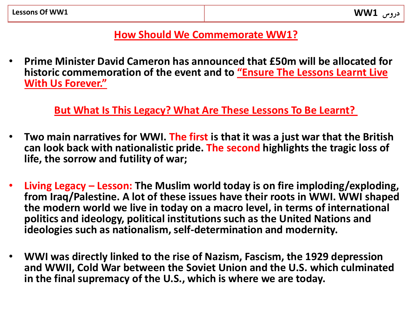### **How Should We Commemorate WW1?**

• **Prime Minister David Cameron has announced that £50m will be allocated for historic commemoration of the event and to "Ensure The Lessons Learnt Live With Us Forever."**

**But What Is This Legacy? What Are These Lessons To Be Learnt?**

- **Two main narratives for WWI. The first is that it was a just war that the British can look back with nationalistic pride. The second highlights the tragic loss of life, the sorrow and futility of war;**
- **Living Legacy – Lesson: The Muslim world today is on fire imploding/exploding, from Iraq/Palestine. A lot of these issues have their roots in WWI. WWI shaped the modern world we live in today on a macro level, in terms of international politics and ideology, political institutions such as the United Nations and ideologies such as nationalism, self-determination and modernity.**
- **WWI was directly linked to the rise of Nazism, Fascism, the 1929 depression and WWII, Cold War between the Soviet Union and the U.S. which culminated in the final supremacy of the U.S., which is where we are today.**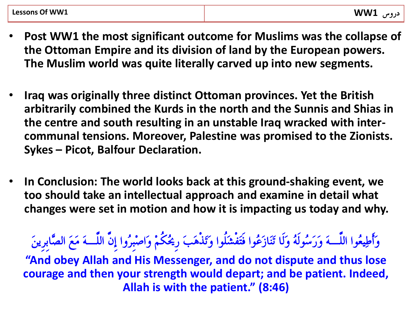- **Post WW1 the most significant outcome for Muslims was the collapse of the Ottoman Empire and its division of land by the European powers. The Muslim world was quite literally carved up into new segments.**
- **Iraq was originally three distinct Ottoman provinces. Yet the British arbitrarily combined the Kurds in the north and the Sunnis and Shias in the centre and south resulting in an unstable Iraq wracked with intercommunal tensions. Moreover, Palestine was promised to the Zionists. Sykes – Picot, Balfour Declaration.**
- **In Conclusion: The world looks back at this ground-shaking event, we too should take an intellectual approach and examine in detail what changes were set in motion and how it is impacting us today and why.**

وَأَطُِعُىا اىيَّـَٔ وَرَسُىىَُٔ وَىَب جََْبسَعُىا فَحَفْشَيُىا وَجَذَْٕتَ رِحيُنٌُِ وَاصِجِزُوا إَُِّ اىيَّـَٔ ٍَعَ اىصَّبثِزََِِ

**"And obey Allah and His Messenger, and do not dispute and thus lose courage and then your strength would depart; and be patient. Indeed, Allah is with the patient." (8:46)**